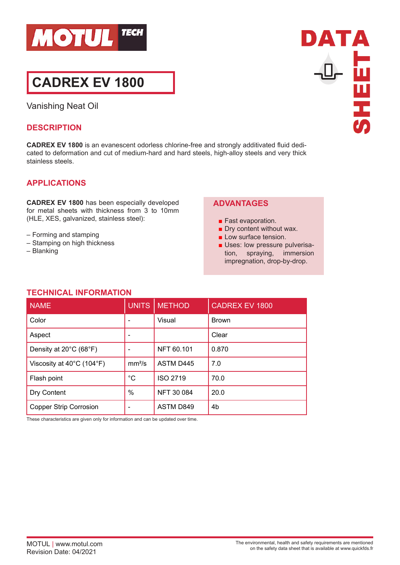

# **CADREX EV 1800**

Vanishing Neat Oil

### **DESCRIPTION**

**CADREX EV 1800** is an evanescent odorless chlorine-free and strongly additivated fluid dedicated to deformation and cut of medium-hard and hard steels, high-alloy steels and very thick stainless steels.

## **APPLICATIONS**

**CADREX EV 1800** has been especially developed for metal sheets with thickness from 3 to 10mm (HLE, XES, galvanized, stainless steel):

- Forming and stamping
- Stamping on high thickness

**TECHNICAL INFORMATION**

– Blanking

#### **ADVANTAGES**

- Fast evaporation.
- Dry content without wax.
- Low surface tension.
- **Uses: low pressure pulverisa**tion, spraying, immersion impregnation, drop-by-drop.

| <b>NAME</b>                                    | <b>UNITS</b>       | <b>METHOD</b>   | <b>CADREX EV 1800</b> |  |
|------------------------------------------------|--------------------|-----------------|-----------------------|--|
| Color                                          |                    | Visual          | <b>Brown</b>          |  |
| Aspect                                         |                    |                 | Clear                 |  |
| Density at 20°C (68°F)                         |                    | NFT 60.101      | 0.870                 |  |
| Viscosity at $40^{\circ}$ C (104 $^{\circ}$ F) | mm <sup>2</sup> /s | ASTM D445       | 7.0                   |  |
| Flash point                                    | $^{\circ}C$        | <b>ISO 2719</b> | 70.0                  |  |
| Dry Content                                    | %                  | NFT 30 084      | 20.0                  |  |
| <b>Copper Strip Corrosion</b>                  |                    | ASTM D849       | 4b                    |  |

These characteristics are given only for information and can be updated over time.